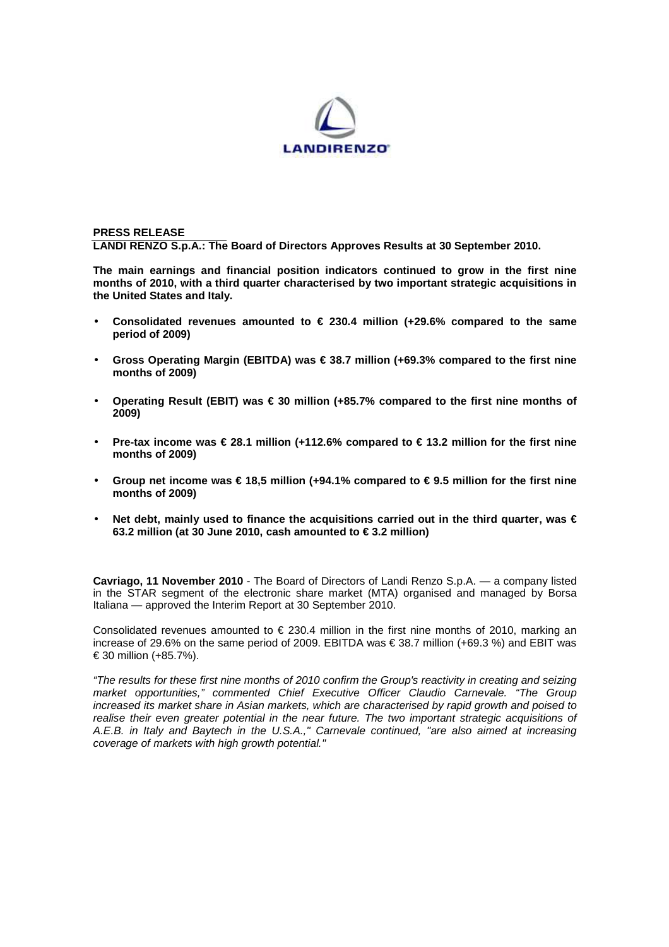

### **PRESS RELEASE LANDI RENZO S.p.A.: The Board of Directors Approves Results at 30 September 2010.**

**The main earnings and financial position indicators continued to grow in the first nine months of 2010, with a third quarter characterised by two important strategic acquisitions in the United States and Italy.** 

- **Consolidated revenues amounted to € 230.4 million (+29.6% compared to the same period of 2009)**
- **Gross Operating Margin (EBITDA) was € 38.7 million (+69.3% compared to the first nine months of 2009)**
- **Operating Result (EBIT) was € 30 million (+85.7% compared to the first nine months of 2009)**
- **Pre-tax income was € 28.1 million (+112.6% compared to € 13.2 million for the first nine months of 2009)**
- **Group net income was € 18,5 million (+94.1% compared to € 9.5 million for the first nine months of 2009)**
- Net debt, mainly used to finance the acquisitions carried out in the third quarter, was € **63.2 million (at 30 June 2010, cash amounted to € 3.2 million)**

**Cavriago, 11 November 2010** - The Board of Directors of Landi Renzo S.p.A. — a company listed in the STAR segment of the electronic share market (MTA) organised and managed by Borsa Italiana — approved the Interim Report at 30 September 2010.

Consolidated revenues amounted to  $\epsilon$  230.4 million in the first nine months of 2010, marking an increase of 29.6% on the same period of 2009. EBITDA was € 38.7 million (+69.3 %) and EBIT was € 30 million (+85.7%).

"The results for these first nine months of 2010 confirm the Group's reactivity in creating and seizing market opportunities," commented Chief Executive Officer Claudio Carnevale. "The Group increased its market share in Asian markets, which are characterised by rapid growth and poised to realise their even greater potential in the near future. The two important strategic acquisitions of A.E.B. in Italy and Baytech in the U.S.A.," Carnevale continued, "are also aimed at increasing coverage of markets with high growth potential."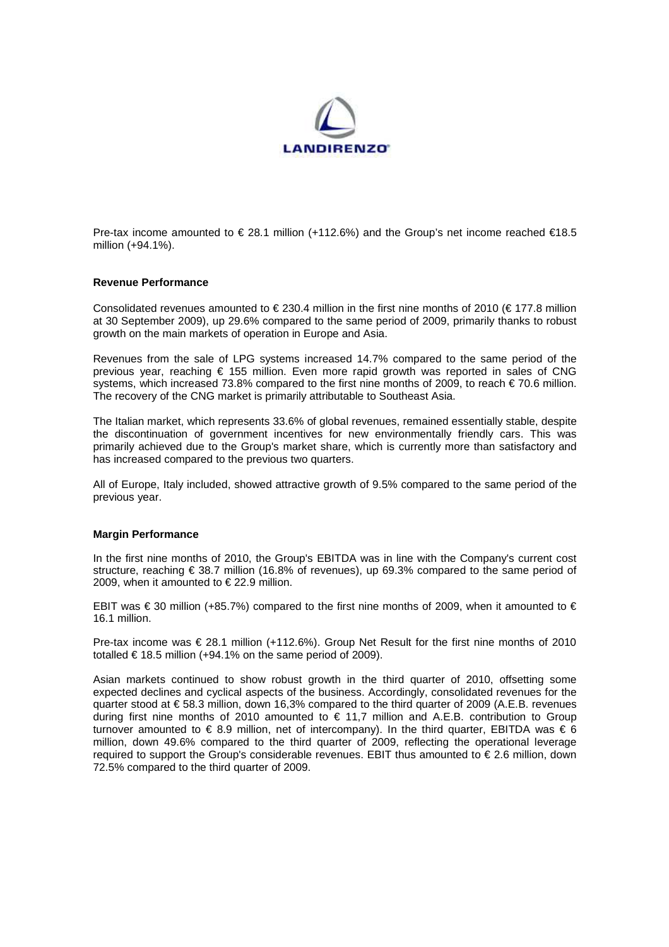

Pre-tax income amounted to  $\epsilon$  28.1 million (+112.6%) and the Group's net income reached  $\epsilon$ 18.5 million (+94.1%).

### **Revenue Performance**

Consolidated revenues amounted to  $\in$  230.4 million in the first nine months of 2010 ( $\in$  177.8 million at 30 September 2009), up 29.6% compared to the same period of 2009, primarily thanks to robust growth on the main markets of operation in Europe and Asia.

Revenues from the sale of LPG systems increased 14.7% compared to the same period of the previous year, reaching € 155 million. Even more rapid growth was reported in sales of CNG systems, which increased 73.8% compared to the first nine months of 2009, to reach € 70.6 million. The recovery of the CNG market is primarily attributable to Southeast Asia.

The Italian market, which represents 33.6% of global revenues, remained essentially stable, despite the discontinuation of government incentives for new environmentally friendly cars. This was primarily achieved due to the Group's market share, which is currently more than satisfactory and has increased compared to the previous two quarters.

All of Europe, Italy included, showed attractive growth of 9.5% compared to the same period of the previous year.

### **Margin Performance**

In the first nine months of 2010, the Group's EBITDA was in line with the Company's current cost structure, reaching € 38.7 million (16.8% of revenues), up 69.3% compared to the same period of 2009, when it amounted to  $\in$  22.9 million.

EBIT was  $\epsilon$  30 million (+85.7%) compared to the first nine months of 2009, when it amounted to  $\epsilon$ 16.1 million.

Pre-tax income was € 28.1 million (+112.6%). Group Net Result for the first nine months of 2010 totalled  $\in$  18.5 million (+94.1% on the same period of 2009).

Asian markets continued to show robust growth in the third quarter of 2010, offsetting some expected declines and cyclical aspects of the business. Accordingly, consolidated revenues for the quarter stood at € 58.3 million, down 16,3% compared to the third quarter of 2009 (A.E.B. revenues during first nine months of 2010 amounted to  $\in$  11,7 million and A.E.B. contribution to Group turnover amounted to  $\in$  8.9 million, net of intercompany). In the third quarter, EBITDA was  $\in$  6 million, down 49.6% compared to the third quarter of 2009, reflecting the operational leverage required to support the Group's considerable revenues. EBIT thus amounted to € 2.6 million, down 72.5% compared to the third quarter of 2009.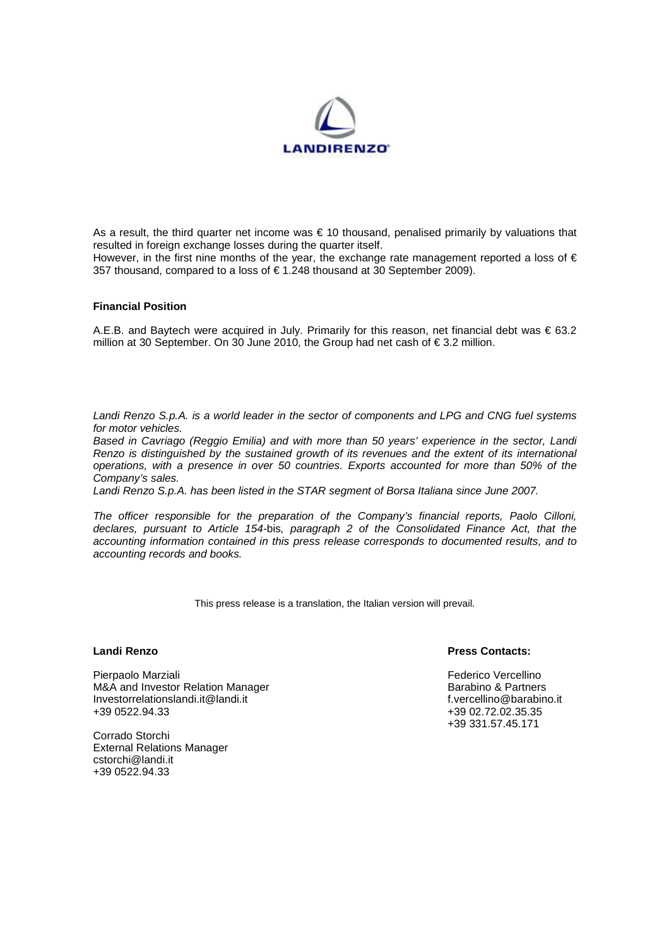

As a result, the third quarter net income was  $\epsilon$  10 thousand, penalised primarily by valuations that resulted in foreign exchange losses during the quarter itself.

However, in the first nine months of the year, the exchange rate management reported a loss of  $\epsilon$ 357 thousand, compared to a loss of € 1.248 thousand at 30 September 2009).

### **Financial Position**

A.E.B. and Baytech were acquired in July. Primarily for this reason, net financial debt was € 63.2 million at 30 September. On 30 June 2010, the Group had net cash of € 3.2 million.

Landi Renzo S.p.A. is a world leader in the sector of components and LPG and CNG fuel systems for motor vehicles.

Based in Cavriago (Reggio Emilia) and with more than 50 years' experience in the sector, Landi Renzo is distinguished by the sustained growth of its revenues and the extent of its international operations, with a presence in over 50 countries. Exports accounted for more than 50% of the Company's sales.

Landi Renzo S.p.A. has been listed in the STAR segment of Borsa Italiana since June 2007.

The officer responsible for the preparation of the Company's financial reports, Paolo Cilloni, declares, pursuant to Article 154-bis, paragraph 2 of the Consolidated Finance Act, that the accounting information contained in this press release corresponds to documented results, and to accounting records and books.

This press release is a translation, the Italian version will prevail.

Pierpaolo Marziali Federico Vercellino M&A and Investor Relation Manager and the control of the Barabino & Partners and Investorrelationslandi.it @ and<br>and the partners of the partners of the partners of the partners of the test of the parabino.it investorrelat Investorrelationslandi.it@landi.it<br>+39 0522 94.33

Corrado Storchi External Relations Manager cstorchi@landi.it +39 0522.94.33

### **Landi Renzo Press Contacts:**

+39 02.72.02.35.35 +39 331.57.45.171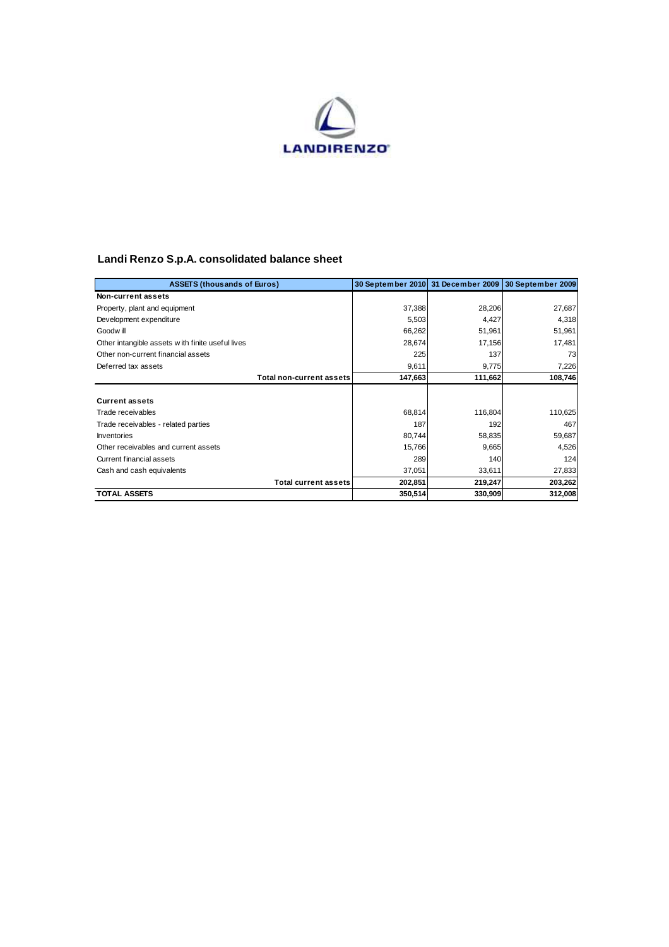

## **Landi Renzo S.p.A. consolidated balance sheet**

| <b>ASSETS (thousands of Euros)</b>               | 30 September 2010 | 31 December 2009 | 30 September 2009 |
|--------------------------------------------------|-------------------|------------------|-------------------|
| Non-current assets                               |                   |                  |                   |
| Property, plant and equipment                    | 37,388            | 28,206           | 27,687            |
| Development expenditure                          | 5,503             | 4,427            | 4,318             |
| Goodw ill                                        | 66,262            | 51,961           | 51,961            |
| Other intangible assets with finite useful lives | 28,674            | 17,156           | 17,481            |
| Other non-current financial assets               | 225               | 137              | 73                |
| Deferred tax assets                              | 9,611             | 9,775            | 7,226             |
| Total non-current assets                         | 147,663           | 111,662          | 108,746           |
|                                                  |                   |                  |                   |
| <b>Current assets</b>                            |                   |                  |                   |
| Trade receivables                                | 68,814            | 116,804          | 110,625           |
| Trade receivables - related parties              | 187               | 192              | 467               |
| Inventories                                      | 80,744            | 58,835           | 59,687            |
| Other receivables and current assets             | 15,766            | 9,665            | 4,526             |
| Current financial assets                         | 289               | 140              | 124               |
| Cash and cash equivalents                        | 37,051            | 33,611           | 27,833            |
| <b>Total current assets</b>                      | 202,851           | 219,247          | 203,262           |
| <b>TOTAL ASSETS</b>                              | 350,514           | 330,909          | 312,008           |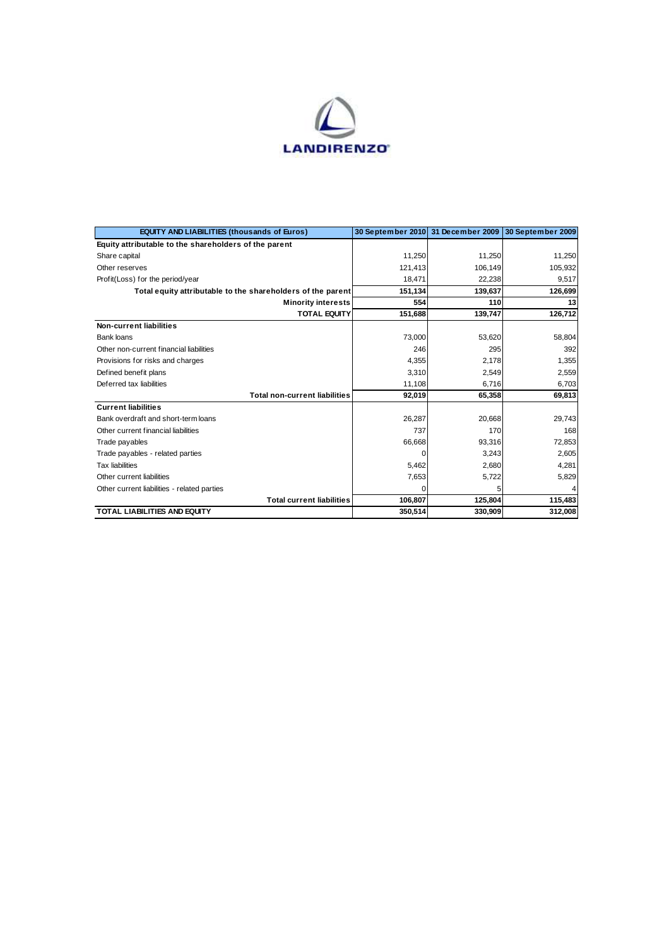

| <b>EQUITY AND LIABILITIES (thousands of Euros)</b>          |         | 30 September 2010 31 December 2009 | 30 September 2009 |
|-------------------------------------------------------------|---------|------------------------------------|-------------------|
| Equity attributable to the shareholders of the parent       |         |                                    |                   |
| Share capital                                               | 11.250  | 11.250                             | 11,250            |
| Other reserves                                              | 121,413 | 106,149                            | 105,932           |
| Profit(Loss) for the period/year                            | 18.471  | 22,238                             | 9,517             |
| Total equity attributable to the shareholders of the parent | 151,134 | 139,637                            | 126,699           |
| <b>Minority interests</b>                                   | 554     | 110                                | 13                |
| <b>TOTAL EQUITY</b>                                         | 151.688 | 139.747                            | 126.712           |
| Non-current liabilities                                     |         |                                    |                   |
| Bank loans                                                  | 73,000  | 53,620                             | 58,804            |
| Other non-current financial liabilities                     | 246     | 295                                | 392               |
| Provisions for risks and charges                            | 4,355   | 2,178                              | 1,355             |
| Defined benefit plans                                       | 3,310   | 2,549                              | 2,559             |
| Deferred tax liabilities                                    | 11,108  | 6,716                              | 6,703             |
| <b>Total non-current liabilities</b>                        | 92,019  | 65,358                             | 69,813            |
| <b>Current liabilities</b>                                  |         |                                    |                   |
| Bank overdraft and short-term loans                         | 26.287  | 20,668                             | 29.743            |
| Other current financial liabilities                         | 737     | 170                                | 168               |
| Trade payables                                              | 66,668  | 93,316                             | 72,853            |
| Trade payables - related parties                            | O       | 3,243                              | 2,605             |
| <b>Tax liabilities</b>                                      | 5,462   | 2,680                              | 4,281             |
| Other current liabilities                                   | 7,653   | 5,722                              | 5,829             |
| Other current liabilities - related parties                 | O       | 5                                  |                   |
| <b>Total current liabilities</b>                            | 106,807 | 125,804                            | 115,483           |
| <b>TOTAL LIABILITIES AND EQUITY</b>                         | 350,514 | 330,909                            | 312,008           |